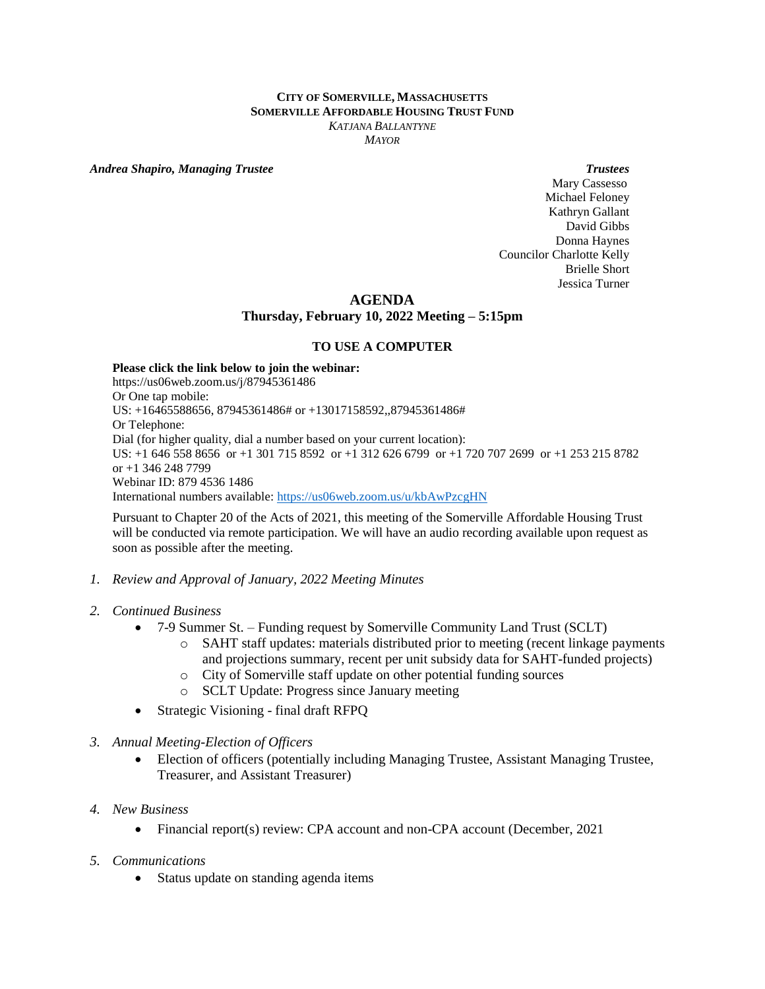#### **CITY OF SOMERVILLE, MASSACHUSETTS SOMERVILLE AFFORDABLE HOUSING TRUST FUND** *KATJANA BALLANTYNE MAYOR*

*Andrea Shapiro, Managing Trustee Trustees*

 Mary Cassesso Michael Feloney Kathryn Gallant David Gibbs Donna Haynes Councilor Charlotte Kelly Brielle Short Jessica Turner

## **AGENDA**

## **Thursday, February 10, 2022 Meeting – 5:15pm**

#### **TO USE A COMPUTER**

**Please click the link below to join the webinar:** https://us06web.zoom.us/j/87945361486 Or One tap mobile: US: +16465588656, 87945361486# or +13017158592,,87945361486# Or Telephone: Dial (for higher quality, dial a number based on your current location): US: +1 646 558 8656 or +1 301 715 8592 or +1 312 626 6799 or +1 720 707 2699 or +1 253 215 8782 or +1 346 248 7799 Webinar ID: 879 4536 1486 International numbers available:<https://us06web.zoom.us/u/kbAwPzcgHN>

Pursuant to Chapter 20 of the Acts of 2021, this meeting of the Somerville Affordable Housing Trust will be conducted via remote participation. We will have an audio recording available upon request as soon as possible after the meeting.

- *1. Review and Approval of January, 2022 Meeting Minutes*
- *2. Continued Business*
	- 7-9 Summer St. Funding request by Somerville Community Land Trust (SCLT)
		- o SAHT staff updates: materials distributed prior to meeting (recent linkage payments and projections summary, recent per unit subsidy data for SAHT-funded projects)
		- o City of Somerville staff update on other potential funding sources
		- o SCLT Update: Progress since January meeting
	- Strategic Visioning final draft RFPQ
- *3. Annual Meeting-Election of Officers* 
	- Election of officers (potentially including Managing Trustee, Assistant Managing Trustee, Treasurer, and Assistant Treasurer)
- *4. New Business* 
	- Financial report(s) review: CPA account and non-CPA account (December, 2021
- *5. Communications*
	- Status update on standing agenda items